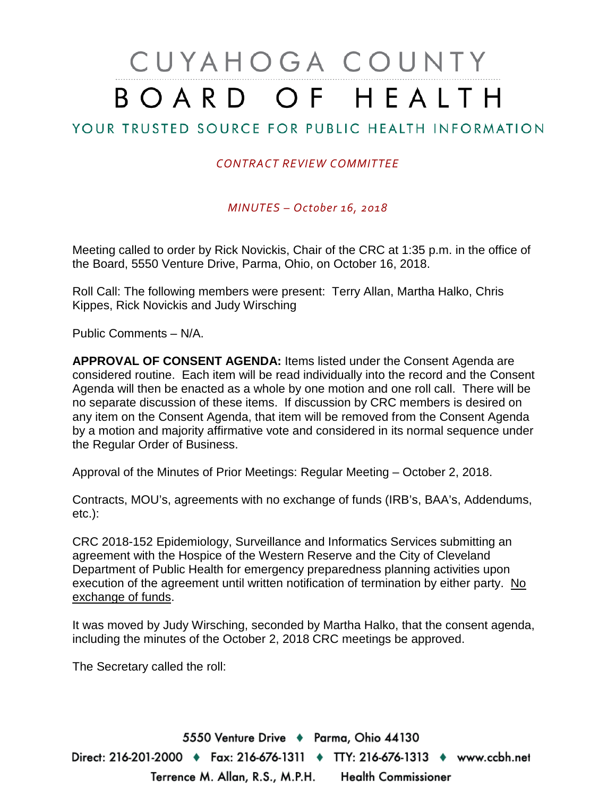## CUYAHOGA COUNTY BOARD OF HEALTH

## YOUR TRUSTED SOURCE FOR PUBLIC HEALTH INFORMATION

## *CONTRACT REVIEW COMMITTEE*

*MINUTES – October 16, 2018*

Meeting called to order by Rick Novickis, Chair of the CRC at 1:35 p.m. in the office of the Board, 5550 Venture Drive, Parma, Ohio, on October 16, 2018.

Roll Call: The following members were present: Terry Allan, Martha Halko, Chris Kippes, Rick Novickis and Judy Wirsching

Public Comments – N/A.

**APPROVAL OF CONSENT AGENDA:** Items listed under the Consent Agenda are considered routine. Each item will be read individually into the record and the Consent Agenda will then be enacted as a whole by one motion and one roll call. There will be no separate discussion of these items. If discussion by CRC members is desired on any item on the Consent Agenda, that item will be removed from the Consent Agenda by a motion and majority affirmative vote and considered in its normal sequence under the Regular Order of Business.

Approval of the Minutes of Prior Meetings: Regular Meeting – October 2, 2018.

Contracts, MOU's, agreements with no exchange of funds (IRB's, BAA's, Addendums, etc.):

CRC 2018-152 Epidemiology, Surveillance and Informatics Services submitting an agreement with the Hospice of the Western Reserve and the City of Cleveland Department of Public Health for emergency preparedness planning activities upon execution of the agreement until written notification of termination by either party. No exchange of funds.

It was moved by Judy Wirsching, seconded by Martha Halko, that the consent agenda, including the minutes of the October 2, 2018 CRC meetings be approved.

The Secretary called the roll:

5550 Venture Drive + Parma, Ohio 44130 Direct: 216-201-2000 ♦ Fax: 216-676-1311 ♦ TTY: 216-676-1313 ♦ www.ccbh.net Terrence M. Allan, R.S., M.P.H. Health Commissioner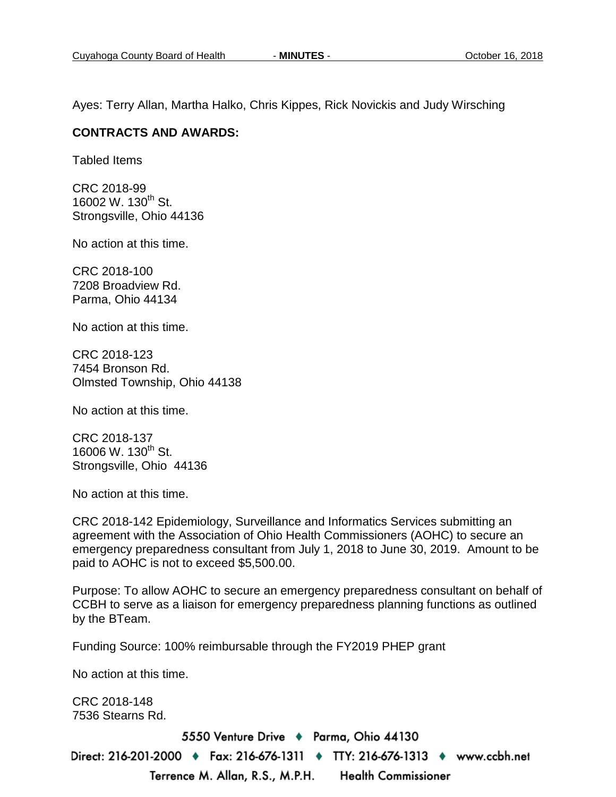Ayes: Terry Allan, Martha Halko, Chris Kippes, Rick Novickis and Judy Wirsching

## **CONTRACTS AND AWARDS:**

Tabled Items

CRC 2018-99 16002 W. 130<sup>th</sup> St. Strongsville, Ohio 44136

No action at this time.

CRC 2018-100 7208 Broadview Rd. Parma, Ohio 44134

No action at this time.

CRC 2018-123 7454 Bronson Rd. Olmsted Township, Ohio 44138

No action at this time.

CRC 2018-137 16006 W. 130<sup>th</sup> St. Strongsville, Ohio 44136

No action at this time.

CRC 2018-142 Epidemiology, Surveillance and Informatics Services submitting an agreement with the Association of Ohio Health Commissioners (AOHC) to secure an emergency preparedness consultant from July 1, 2018 to June 30, 2019. Amount to be paid to AOHC is not to exceed \$5,500.00.

Purpose: To allow AOHC to secure an emergency preparedness consultant on behalf of CCBH to serve as a liaison for emergency preparedness planning functions as outlined by the BTeam.

Funding Source: 100% reimbursable through the FY2019 PHEP grant

No action at this time.

CRC 2018-148 7536 Stearns Rd.

5550 Venture Drive + Parma, Ohio 44130

Direct: 216-201-2000 ♦ Fax: 216-676-1311 ♦ TTY: 216-676-1313 ♦ www.ccbh.net Terrence M. Allan, R.S., M.P.H. **Health Commissioner**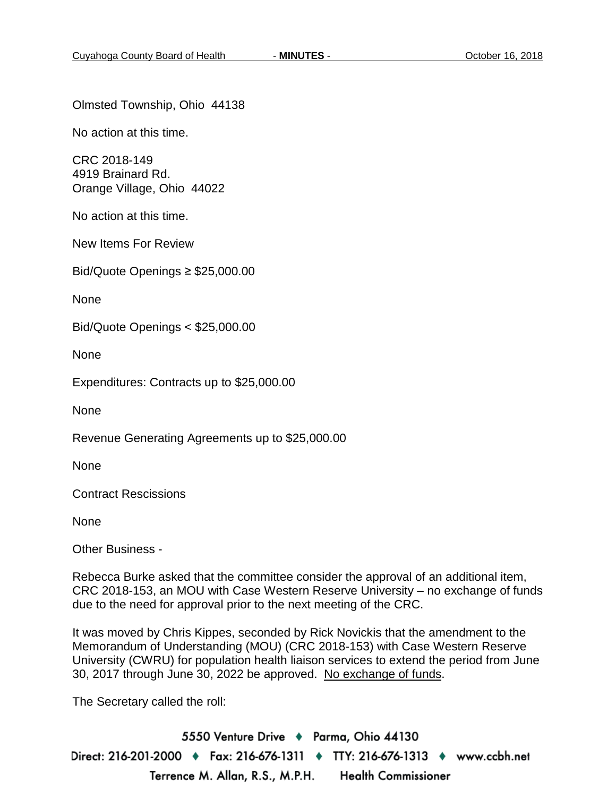Olmsted Township, Ohio 44138

No action at this time.

CRC 2018-149 4919 Brainard Rd. Orange Village, Ohio 44022

No action at this time.

New Items For Review

Bid/Quote Openings ≥ \$25,000.00

None

Bid/Quote Openings < \$25,000.00

None

Expenditures: Contracts up to \$25,000.00

None

Revenue Generating Agreements up to \$25,000.00

None

Contract Rescissions

None

Other Business -

Rebecca Burke asked that the committee consider the approval of an additional item, CRC 2018-153, an MOU with Case Western Reserve University – no exchange of funds due to the need for approval prior to the next meeting of the CRC.

It was moved by Chris Kippes, seconded by Rick Novickis that the amendment to the Memorandum of Understanding (MOU) (CRC 2018-153) with Case Western Reserve University (CWRU) for population health liaison services to extend the period from June 30, 2017 through June 30, 2022 be approved. No exchange of funds.

The Secretary called the roll:

5550 Venture Drive + Parma, Ohio 44130 Direct: 216-201-2000 ♦ Fax: 216-676-1311 ♦ TTY: 216-676-1313 ♦ www.ccbh.net Terrence M. Allan, R.S., M.P.H. **Health Commissioner**